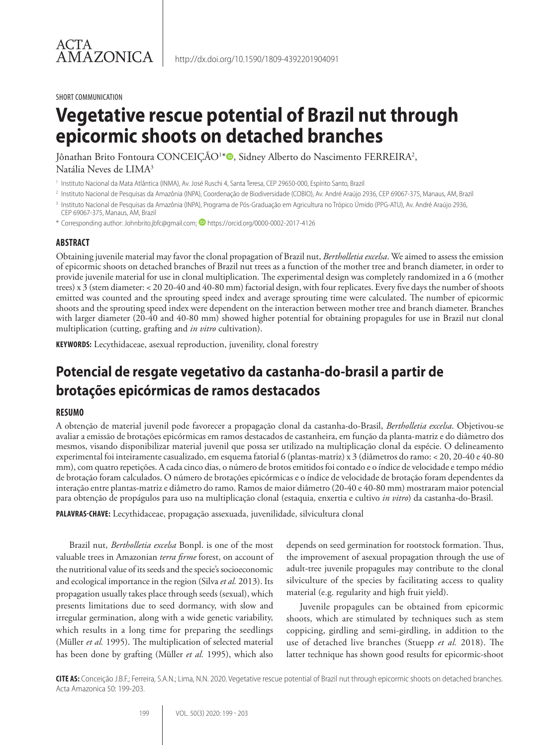#### SHORT COMMUNICATION

# **Vegetative rescue potential of Brazil nut through epicormic shoots on detached branches**

Jônathan Brito Fontoura CONCEIÇÃO<sup>1</sup>\*®, Sidney Alberto do Nascimento FERREIRA<sup>2</sup>, Natália Neves de LIMA3

<sup>1</sup> Instituto Nacional da Mata Atlântica (INMA), Av. José Ruschi 4, Santa Teresa, CEP 29650-000, Espírito Santo, Brazil

- <sup>2</sup> Instituto Nacional de Pesquisas da Amazônia (INPA), Coordenação de Biodiversidade (COBIO), Av. André Araújo 2936, CEP 69067-375, Manaus, AM, Brazil
- <sup>3</sup> Instituto Nacional de Pesquisas da Amazônia (INPA), Programa de Pós-Graduação em Agricultura no Trópico Úmido (PPG-ATU), Av. André Araújo 2936, CEP 69067-375, Manaus, AM, Brazil

\* Corresponding author: Johnbrito.jbfc@gmail.com; **D** https://orcid.org/0000-0002-2017-4126

### **ABSTRACT**

Obtaining juvenile material may favor the clonal propagation of Brazil nut, *Bertholletia excelsa*. We aimed to assess the emission of epicormic shoots on detached branches of Brazil nut trees as a function of the mother tree and branch diameter, in order to provide juvenile material for use in clonal multiplication. The experimental design was completely randomized in a 6 (mother trees) x 3 (stem diameter: < 20 20-40 and 40-80 mm) factorial design, with four replicates. Every five days the number of shoots emitted was counted and the sprouting speed index and average sprouting time were calculated. The number of epicormic shoots and the sprouting speed index were dependent on the interaction between mother tree and branch diameter. Branches with larger diameter (20-40 and 40-80 mm) showed higher potential for obtaining propagules for use in Brazil nut clonal multiplication (cutting, grafting and *in vitro* cultivation).

**KEYWORDS:** Lecythidaceae, asexual reproduction, juvenility, clonal forestry

# **Potencial de resgate vegetativo da castanha-do-brasil a partir de brotações epicórmicas de ramos destacados**

### **RESUMO**

A obtenção de material juvenil pode favorecer a propagação clonal da castanha-do-Brasil, *Bertholletia excelsa*. Objetivou-se avaliar a emissão de brotações epicórmicas em ramos destacados de castanheira, em função da planta-matriz e do diâmetro dos mesmos, visando disponibilizar material juvenil que possa ser utilizado na multiplicação clonal da espécie. O delineamento experimental foi inteiramente casualizado, em esquema fatorial 6 (plantas-matriz) x 3 (diâmetros do ramo: < 20, 20-40 e 40-80 mm), com quatro repetições. A cada cinco dias, o número de brotos emitidos foi contado e o índice de velocidade e tempo médio de brotação foram calculados. O número de brotações epicórmicas e o índice de velocidade de brotação foram dependentes da interação entre plantas-matriz e diâmetro do ramo. Ramos de maior diâmetro (20-40 e 40-80 mm) mostraram maior potencial para obtenção de propágulos para uso na multiplicação clonal (estaquia, enxertia e cultivo *in vitro*) da castanha-do-Brasil.

**PALAVRAS-CHAVE:** Lecythidaceae, propagação assexuada, juvenilidade, silvicultura clonal

Brazil nut, *Bertholletia excelsa* Bonpl. is one of the most valuable trees in Amazonian *terra firme* forest, on account of the nutritional value of its seeds and the specie's socioeconomic and ecological importance in the region (Silva *et al.* 2013). Its propagation usually takes place through seeds (sexual), which presents limitations due to seed dormancy, with slow and irregular germination, along with a wide genetic variability, which results in a long time for preparing the seedlings (Müller *et al.* 1995). The multiplication of selected material has been done by grafting (Müller *et al.* 1995), which also

depends on seed germination for rootstock formation. Thus, the improvement of asexual propagation through the use of adult-tree juvenile propagules may contribute to the clonal silviculture of the species by facilitating access to quality material (e.g. regularity and high fruit yield).

Juvenile propagules can be obtained from epicormic shoots, which are stimulated by techniques such as stem coppicing, girdling and semi-girdling, in addition to the use of detached live branches (Stuepp *et al.* 2018). The latter technique has shown good results for epicormic-shoot

**CITE AS:** Conceição J.B.F.; Ferreira, S.A.N.; Lima, N.N. 2020. Vegetative rescue potential of Brazil nut through epicormic shoots on detached branches. Acta Amazonica 50: 199-203.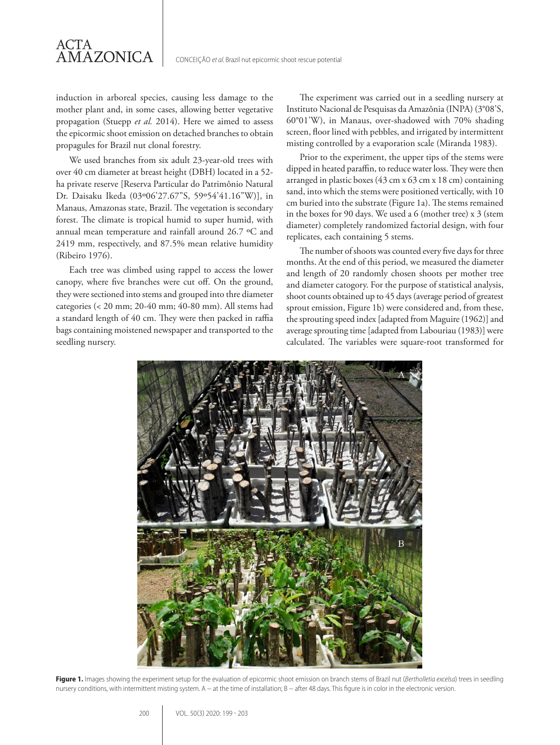induction in arboreal species, causing less damage to the mother plant and, in some cases, allowing better vegetative propagation (Stuepp *et al.* 2014). Here we aimed to assess the epicormic shoot emission on detached branches to obtain propagules for Brazil nut clonal forestry.

ACTA

AMAZONICA

We used branches from six adult 23-year-old trees with over 40 cm diameter at breast height (DBH) located in a 52 ha private reserve [Reserva Particular do Patrimônio Natural Dr. Daisaku Ikeda (03º06'27.67"S, 59º54'41.16"W)], in Manaus, Amazonas state, Brazil. The vegetation is secondary forest. The climate is tropical humid to super humid, with annual mean temperature and rainfall around 26.7 ºC and 2419 mm, respectively, and 87.5% mean relative humidity (Ribeiro 1976).

Each tree was climbed using rappel to access the lower canopy, where five branches were cut off. On the ground, they were sectioned into stems and grouped into thre diameter categories (< 20 mm; 20-40 mm; 40-80 mm). All stems had a standard length of 40 cm. They were then packed in raffia bags containing moistened newspaper and transported to the seedling nursery.

The experiment was carried out in a seedling nursery at Instituto Nacional de Pesquisas da Amazônia (INPA) (3°08'S, 60°01'W), in Manaus, over-shadowed with 70% shading screen, floor lined with pebbles, and irrigated by intermittent misting controlled by a evaporation scale (Miranda 1983).

Prior to the experiment, the upper tips of the stems were dipped in heated paraffin, to reduce water loss. They were then arranged in plastic boxes (43 cm x 63 cm x 18 cm) containing sand, into which the stems were positioned vertically, with 10 cm buried into the substrate (Figure 1a). The stems remained in the boxes for 90 days. We used a 6 (mother tree) x 3 (stem diameter) completely randomized factorial design, with four replicates, each containing 5 stems.

The number of shoots was counted every five days for three months. At the end of this period, we measured the diameter and length of 20 randomly chosen shoots per mother tree and diameter catogory. For the purpose of statistical analysis, shoot counts obtained up to 45 days (average period of greatest sprout emission, Figure 1b) were considered and, from these, the sprouting speed index [adapted from Maguire (1962)] and average sprouting time [adapted from Labouriau (1983)] were calculated. The variables were square-root transformed for



**Figure 1.** Images showing the experiment setup for the evaluation of epicormic shoot emission on branch stems of Brazil nut (*Bertholletia excelsa*) trees in seedling nursery conditions, with intermittent misting system. A – at the time of installation; B – after 48 days. This figure is in color in the electronic version.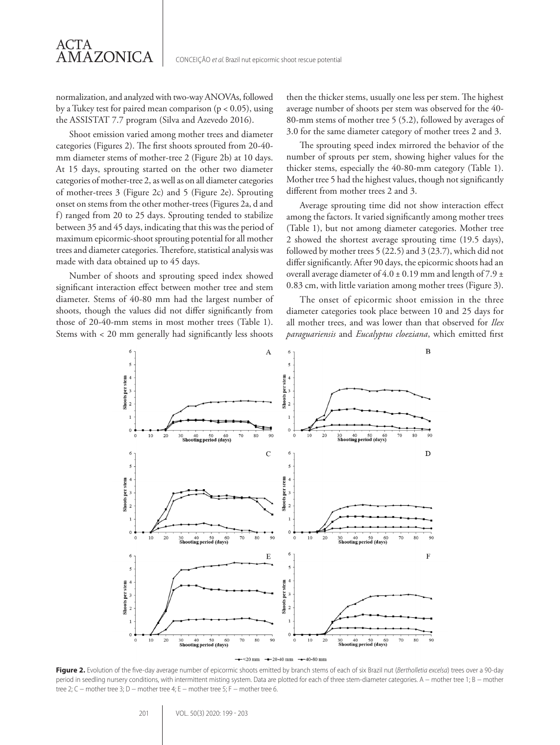normalization, and analyzed with two-way ANOVAs, followed by a Tukey test for paired mean comparison  $(p < 0.05)$ , using the ASSISTAT 7.7 program (Silva and Azevedo 2016).

Shoot emission varied among mother trees and diameter categories (Figures 2). The first shoots sprouted from 20-40 mm diameter stems of mother-tree 2 (Figure 2b) at 10 days. At 15 days, sprouting started on the other two diameter categories of mother-tree 2, as well as on all diameter categories of mother-trees 3 (Figure 2c) and 5 (Figure 2e). Sprouting onset on stems from the other mother-trees (Figures 2a, d and f) ranged from 20 to 25 days. Sprouting tended to stabilize between 35 and 45 days, indicating that this was the period of maximum epicormic-shoot sprouting potential for all mother trees and diameter categories. Therefore, statistical analysis was made with data obtained up to 45 days.

Number of shoots and sprouting speed index showed significant interaction effect between mother tree and stem diameter. Stems of 40-80 mm had the largest number of shoots, though the values did not differ significantly from those of 20-40-mm stems in most mother trees (Table 1). Stems with < 20 mm generally had significantly less shoots then the thicker stems, usually one less per stem. The highest average number of shoots per stem was observed for the 40- 80-mm stems of mother tree 5 (5.2), followed by averages of 3.0 for the same diameter category of mother trees 2 and 3.

The sprouting speed index mirrored the behavior of the number of sprouts per stem, showing higher values for the thicker stems, especially the 40-80-mm category (Table 1). Mother tree 5 had the highest values, though not significantly different from mother trees 2 and 3.

Average sprouting time did not show interaction effect among the factors. It varied significantly among mother trees (Table 1), but not among diameter categories. Mother tree 2 showed the shortest average sprouting time (19.5 days), followed by mother trees 5 (22.5) and 3 (23.7), which did not differ significantly. After 90 days, the epicormic shoots had an overall average diameter of  $4.0 \pm 0.19$  mm and length of  $7.9 \pm$ 0.83 cm, with little variation among mother trees (Figure 3).

The onset of epicormic shoot emission in the three diameter categories took place between 10 and 25 days for all mother trees, and was lower than that observed for *Ilex paraguariensis* and *Eucalyptus cloeziana*, which emitted first



**Figure 2.** Evolution of the five-day average number of epicormic shoots emitted by branch stems of each of six Brazil nut (*Bertholletia excelsa*) trees over a 90-day period in seedling nursery conditions, with intermittent misting system. Data are plotted for each of three stem-diameter categories. A – mother tree 1; B – mother tree 2; C – mother tree 3; D – mother tree 4; E – mother tree 5; F – mother tree 6.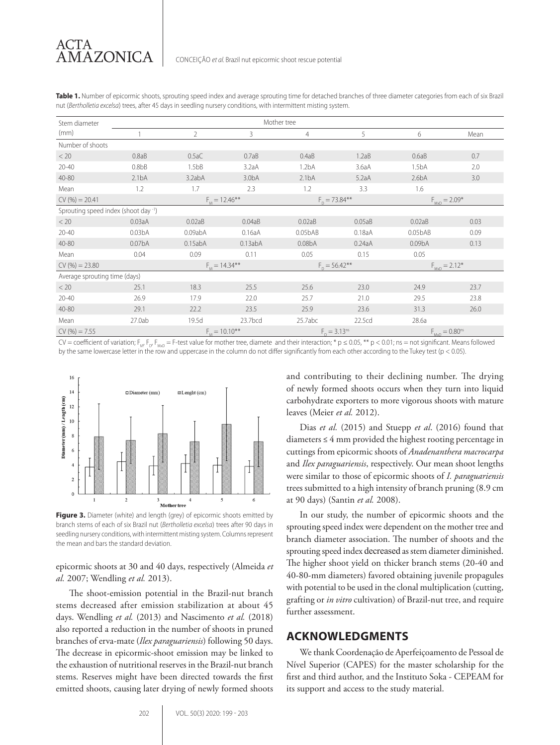| Stem diameter                        | Mother tree         |                     |                    |                     |        |                       |      |
|--------------------------------------|---------------------|---------------------|--------------------|---------------------|--------|-----------------------|------|
| (mm)                                 |                     | $\overline{2}$      | 3                  | $\overline{4}$      | 5      | 6                     | Mean |
| Number of shoots                     |                     |                     |                    |                     |        |                       |      |
| < 20                                 | 0.8aB               | 0.5aC               | 0.7aB              | 0.4aB               | 1.2aB  | 0.6aB                 | 0.7  |
| $20 - 40$                            | 0.8 <sub>b</sub> B  | 1.5 <sub>bB</sub>   | 3.2aA              | 1.2 <sub>bA</sub>   | 3.6aA  | 1.5 <sub>bA</sub>     | 2.0  |
| 40-80                                | 2.1 <sub>bA</sub>   | 3.2abA              | 3.0 <sub>b</sub> A | 2.1 <sub>bA</sub>   | 5.2aA  | 2.6 <sub>b</sub> A    | 3.0  |
| Mean                                 | 1.2                 | 1.7                 | 2.3                | 1.2                 | 3.3    | 1.6                   |      |
| $CV(%) = 20.41$                      |                     | $F_{11} = 12.46***$ |                    | $F_{0} = 73.84***$  |        | $F_{MxD} = 2.09*$     |      |
| Sprouting speed index (shoot day -1) |                     |                     |                    |                     |        |                       |      |
| < 20                                 | 0.03aA              | 0.02aB              | 0.04aB             | 0.02aB              | 0.05aB | 0.02aB                | 0.03 |
| $20 - 40$                            | 0.03 <sub>b</sub> A | 0.09abA             | 0.16aA             | 0.05bAB             | 0.18aA | 0.05bAB               | 0.09 |
| 40-80                                | 0.07 <sub>b</sub> A | 0.15abA             | 0.13abA            | 0.08 <sub>b</sub> A | 0.24aA | 0.09 <sub>b</sub> A   | 0.13 |
| Mean                                 | 0.04                | 0.09                | 0.11               | 0.05                | 0.15   | 0.05                  |      |
| $CV(%)=23.80$                        |                     | $F_{11} = 14.34***$ |                    | $F_{0} = 56.42***$  |        | $F_{MxD} = 2.12*$     |      |
| Average sprouting time (days)        |                     |                     |                    |                     |        |                       |      |
| < 20                                 | 25.1                | 18.3                | 25.5               | 25.6                | 23.0   | 24.9                  | 23.7 |
| $20 - 40$                            | 26.9                | 17.9                | 22.0               | 25.7                | 21.0   | 29.5                  | 23.8 |
| 40-80                                | 29.1                | 22.2                | 23.5               | 25.9                | 23.6   | 31.3                  | 26.0 |
| Mean                                 | 27.0ab              | 19.5d               | 23.7bcd            | 25.7abc             | 22.5cd | 28.6a                 |      |
| $CV(%) = 7.55$                       |                     | $F_{M} = 10.10***$  |                    | $F_{0} = 3.13^{ns}$ |        | $F_{MxD} = 0.80^{ns}$ |      |

**Table 1.** Number of epicormic shoots, sprouting speed index and average sprouting time for detached branches of three diameter categories from each of six Brazil nut (*Bertholletia excelsa*) trees, after 45 days in seedling nursery conditions, with intermittent misting system.

CV = coefficient of variation; F<sub>M</sub>, F<sub>D</sub>, F<sub>Mo</sub> = F-test value for mother tree, diamete and their interaction; \* p ≤ 0.05, \*\* p < 0.01; ns = not significant. Means followed by the same lowercase letter in the row and uppercase in the column do not differ significantly from each other according to the Tukey test (p < 0.05).



branch stems of each of six Brazil nut (*Bertholletia excelsa*) trees after 90 days in seedling nursery conditions, with intermittent misting system. Columns represent the mean and bars the standard deviation.

epicormic shoots at 30 and 40 days, respectively (Almeida *et al.* 2007; Wendling *et al.* 2013).

The shoot-emission potential in the Brazil-nut branch stems decreased after emission stabilization at about 45 days. Wendling *et al.* (2013) and Nascimento *et al.* (2018) also reported a reduction in the number of shoots in pruned branches of erva-mate (*Ilex paraguariensis*) following 50 days. The decrease in epicormic-shoot emission may be linked to the exhaustion of nutritional reserves in the Brazil-nut branch stems. Reserves might have been directed towards the first emitted shoots, causing later drying of newly formed shoots and contributing to their declining number. The drying of newly formed shoots occurs when they turn into liquid carbohydrate exporters to more vigorous shoots with mature leaves (Meier *et al.* 2012).

Dias *et al.* (2015) and Stuepp *et al*. (2016) found that diameters ≤ 4 mm provided the highest rooting percentage in cuttings from epicormic shoots of *Anadenanthera macrocarpa* and *Ilex paraguariensis*, respectively. Our mean shoot lengths were similar to those of epicormic shoots of *I. paraguariensis* trees submitted to a high intensity of branch pruning (8.9 cm at 90 days) (Santin *et al.* 2008).

In our study, the number of epicormic shoots and the sprouting speed index were dependent on the mother tree and branch diameter association. The number of shoots and the sprouting speed index decreased as stem diameter diminished. The higher shoot yield on thicker branch stems (20-40 and 40-80-mm diameters) favored obtaining juvenile propagules with potential to be used in the clonal multiplication (cutting, grafting or *in vitro* cultivation) of Brazil-nut tree, and require further assessment.

# **ACKNOWLEDGMENTS**

We thank Coordenação de Aperfeiçoamento de Pessoal de Nível Superior (CAPES) for the master scholarship for the first and third author, and the Instituto Soka - CEPEAM for its support and access to the study material.